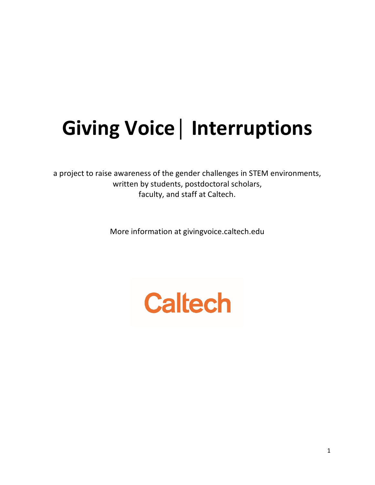# **Giving Voice│ Interruptions**

a project to raise awareness of the gender challenges in STEM environments, written by students, postdoctoral scholars, faculty, and staff at Caltech.

More information at givingvoice.caltech.edu

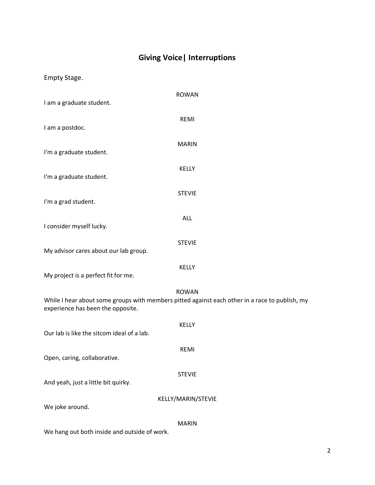## **Giving Voice| Interruptions**

Empty Stage.

| I am a graduate student.                   | <b>ROWAN</b>                                                                                                   |
|--------------------------------------------|----------------------------------------------------------------------------------------------------------------|
| I am a postdoc.                            | REMI                                                                                                           |
| I'm a graduate student.                    | <b>MARIN</b>                                                                                                   |
| I'm a graduate student.                    | KELLY                                                                                                          |
| I'm a grad student.                        | <b>STEVIE</b>                                                                                                  |
| I consider myself lucky.                   | ALL                                                                                                            |
| My advisor cares about our lab group.      | <b>STEVIE</b>                                                                                                  |
| My project is a perfect fit for me.        | <b>KELLY</b>                                                                                                   |
| experience has been the opposite.          | <b>ROWAN</b><br>While I hear about some groups with members pitted against each other in a race to publish, my |
| Our lab is like the sitcom ideal of a lab. | KELLY                                                                                                          |
| Open, caring, collaborative.               | REMI                                                                                                           |
| And yeah, just a little bit quirky.        | <b>STEVIE</b>                                                                                                  |
| We joke around.                            | KELLY/MARIN/STEVIE                                                                                             |
|                                            | <b>MARIN</b>                                                                                                   |

We hang out both inside and outside of work.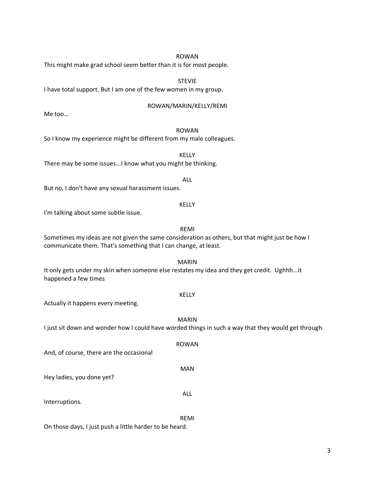#### ROWAN

This might make grad school seem better than it is for most people.

STEVIE

I have total support. But I am one of the few women in my group.

#### ROWAN/MARIN/KELLY/REMI

Me too…

### ROWAN

So I know my experience might be different from my male colleagues.

KELLY There may be some issues...I know what you might be thinking.

But no, I don't have any sexual harassment issues.

I'm talking about some subtle issue.

#### REMI

ALL

KELLY

Sometimes my ideas are not given the same consideration as others, but that might just be how I communicate them. That's something that I can change, at least.

MARIN It only gets under my skin when someone else restates my idea and they get credit. Ughhh...it happened a few times

#### KELLY

Actually it happens every meeting.

MARIN I just sit down and wonder how I could have worded things in such a way that they would get through. ROWAN And, of course, there are the occasional MAN Hey ladies, you done yet? ALL Interruptions. REMI

On those days, I just push a little harder to be heard.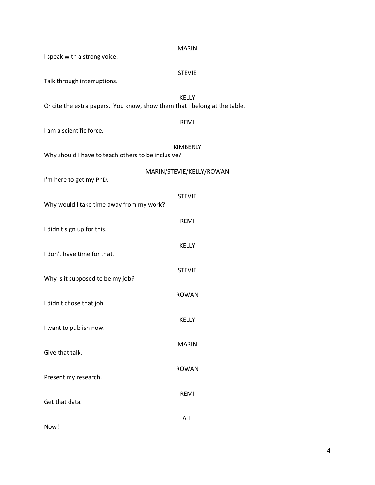|                                                                           | <b>MARIN</b>             |  |
|---------------------------------------------------------------------------|--------------------------|--|
| I speak with a strong voice.                                              |                          |  |
| Talk through interruptions.                                               | <b>STEVIE</b>            |  |
|                                                                           | <b>KELLY</b>             |  |
| Or cite the extra papers. You know, show them that I belong at the table. |                          |  |
|                                                                           | <b>REMI</b>              |  |
| I am a scientific force.                                                  |                          |  |
|                                                                           | KIMBERLY                 |  |
| Why should I have to teach others to be inclusive?                        |                          |  |
|                                                                           | MARIN/STEVIE/KELLY/ROWAN |  |
| I'm here to get my PhD.                                                   |                          |  |
|                                                                           | <b>STEVIE</b>            |  |
| Why would I take time away from my work?                                  |                          |  |
|                                                                           | <b>REMI</b>              |  |
| I didn't sign up for this.                                                |                          |  |
|                                                                           | KELLY                    |  |
| I don't have time for that.                                               |                          |  |
|                                                                           | <b>STEVIE</b>            |  |
| Why is it supposed to be my job?                                          |                          |  |
|                                                                           | <b>ROWAN</b>             |  |
| I didn't chose that job.                                                  |                          |  |
|                                                                           | KELLY                    |  |
| I want to publish now.                                                    |                          |  |
|                                                                           | <b>MARIN</b>             |  |
| Give that talk.                                                           |                          |  |
|                                                                           | <b>ROWAN</b>             |  |
| Present my research.                                                      |                          |  |
|                                                                           | <b>REMI</b>              |  |
| Get that data.                                                            |                          |  |
|                                                                           | ALL                      |  |
| Now!                                                                      |                          |  |